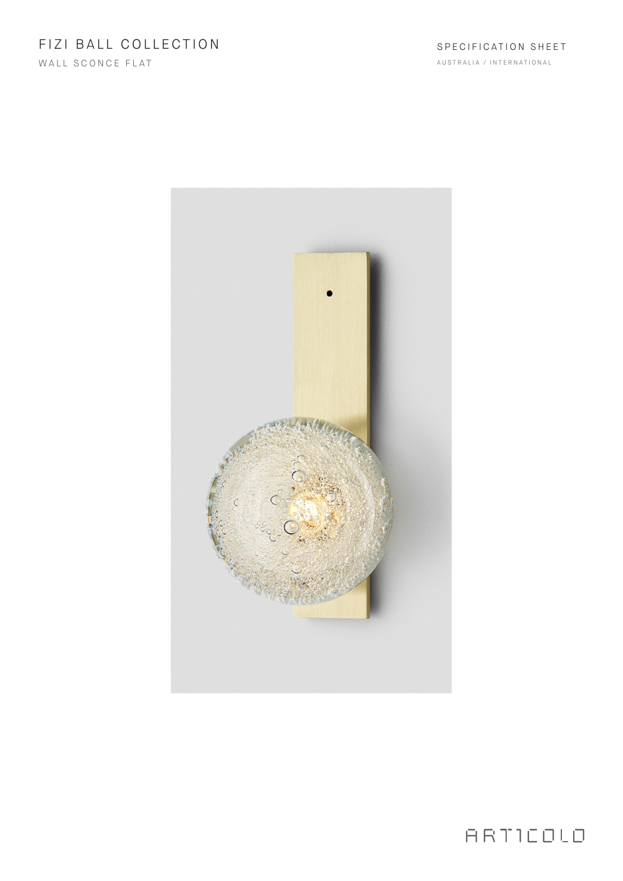# FIZI BALL COLLECTION

WALL SCONCE FLAT

AUSTRALIA / INTERNATIONAL



ARTICOLO